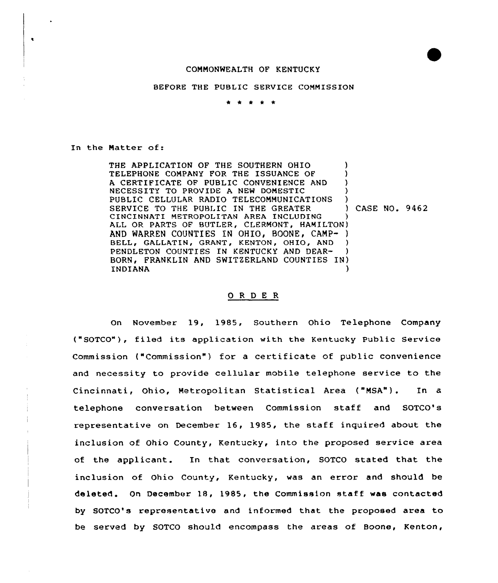## COMMONWEALTH OF KENTUCKY

## BEFORE THE PUBLIC SERVICE COMMISSION

\* \* \* \* \*

In the Natter of:

 $\bullet$ 

THE APPLICATION OF THE SOUTHERN OHIO (1) TELEPHONE COMPANY FOR THE ISSUANCE OF A CERTIFICATE OF PUBLIC CONVENIENCE AND NECESSITY TO PROVIDE A NEW DOMESTIC ) PUBLIC CELLULAR RADIO TELECOMMUNICATIONS )<br>SERVICE TO THE PUBLIC IN THE GREATER SERVICE TO THE PUBLIC IN THE GREATER ) CASE NO. 9462 CINCINNATI METROPOLITAN AREA INCLUDING } ALL OR PARTS OF BUTLER, CLERMONT, HAMILTON) AND WARREN COUNTIES IN OHIO, BOONE, CAMP- ) BELL, GALLATIN, GRANT, KENTON, OHIO, AND PENDLETON COUNTIES IN KENTUCKY AND DEAR- ) BORN, FRANKLIN AND SWITZERLAND COUNTIES IN) INDIANA )

## 0 <sup>R</sup> <sup>D</sup> E <sup>R</sup>

On November 19, 1985, Southern Ohio Telephone Company ("SOTCO"), filed its application with the Kentucky Public Service Commission ("Commission") for a certificate of public convenience and necessity to provide cellular mobile telephone service to the Cincinnati, Ohio, Metropolitan Statistical Area ("NSA"). In a telephone conversation between Commission staff and SOTCO's representative on December 16, 1985, the staff inquired about the inclusion of Ohio County, Kentucky, into the proposed service area of the applicant. In that conversation, SOTCO stated that the inclusion of Ohio County, Kentucky, was an error and should be deleted. On December 18, 1985, the Commission staff was contacted by SOTCO's representative and informed that the proposed area to be served by SOTCO should encompass the areas of Boone, Kenton,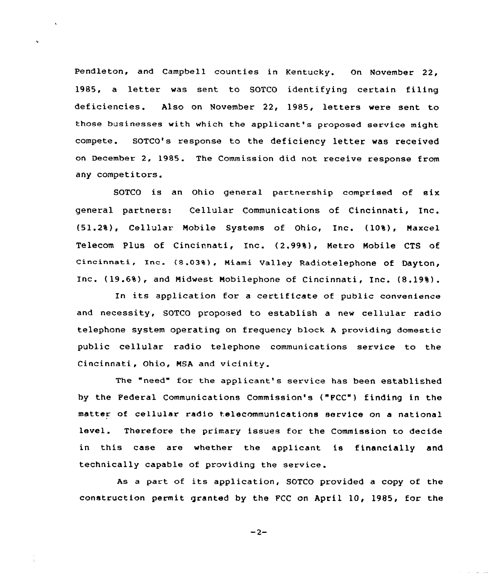Pendleton, and Campbell counties in Kentucky. On November 22, 1985, a letter was sent to SOTCO identifying certain filing deficiencies. Also on November 22, 1985, letters were sent to those businesses with which the applicant's prapased service might compete. SOTCO's response to the deficiency letter was received on December 2, 1985. The Commission did not receive response from any competitors.

SOTCO is an Ohio general partnership comprised of six general partners: Cellular Communications of Cincinnati, Inc. (51.2%), Cellular Mobile Systems of Ohio, Inc. (10%), Maxcel Telecom Plus of Cincinnati, Inc. (2.99%), Metro Mobile CTS of Cincinnati, Inc. (8.03%), Miami Valley Radiotelephone of Dayton, Inc. (19.6%), and Midwest Mobilephone of Cincinnati, Inc. (8.19%).

In its application for <sup>a</sup> certificate of public convenience and necessity, SOTCO proposed to establish a new cellular radio telephone system operating on frequency block A providing domestic public cellular radio telephone communications service to the Cincinnati, Ohio, MSA and vicinity.

The "need" for the applicant's service has been established by the Federal Communications Commission's ("FCC") finding in the matter af cellular radio telecommunications service on a national level. Therefore the primary issues for the Commission to decide in this case are whether the applicant is financially and technically capable of providing the service.

As <sup>a</sup> part of its application, SOTCO provided <sup>a</sup> copy of the construction permit granted by the FCC on April 10, 1985, for the

 $-2-$ 

**Contract Contract**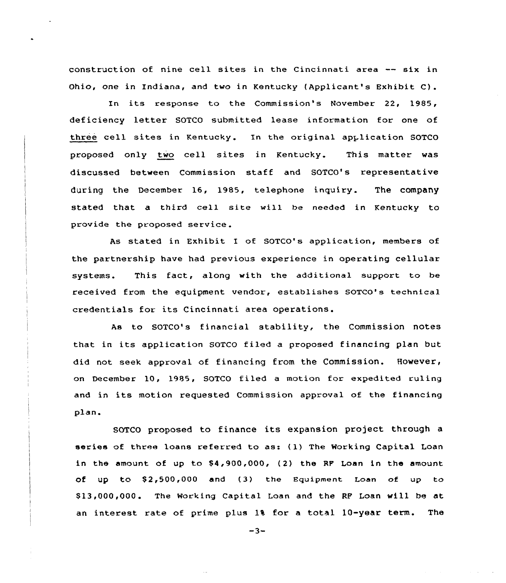construction of nine cell sites in the Cincinnati area -- six in Ohio, one in Indiana, and two in Kentucky (Applicant's Exhibit C).

In its response to the Commission's November 22, 1985, deficiency letter SOTCO submitted lease information for one of three cell sites in Kentucky. In the original application SOTCO proposed only two cell sites in Kentucky. This matter was discussed between Commission staff and SOTCO's representative during the December 16, 1985, telephone inquiry. The company stated that a third cell site will be needed in Kentucky to provide the proposed service.

As stated in Exhibit I of SOTCO's application, members of the partnership have had previous experience in operating cellular systems. This fact, along with the additional support to be received from the equipment vendor, establishes GOTco's technical credentials for its Cincinnati area operations.

As to SOTCO's financial stability, the Commission notes that in its application SOTCO filed <sup>a</sup> proposed financing plan but did not seek approval of financing from the Commission. However, on December 10, 1985, SOTCO filed a motion for expedited ruling and in its motion requested Commission approval of the financing plan.

SOTCO proposed to finance its expansion project through <sup>a</sup> series of three loans referred to as: (1) The Working Capital Loan in the amount of up to  $$4,900,000$ , (2) the RF Loan in the amount of up to  $$2,500,000$  and (3) the Equipment Loan of up to \$ 13,000,000. The Working Capital Loan and the RF Loan will be at an interest rate of prime plus 1% for a total 10-year term. The

 $-3-$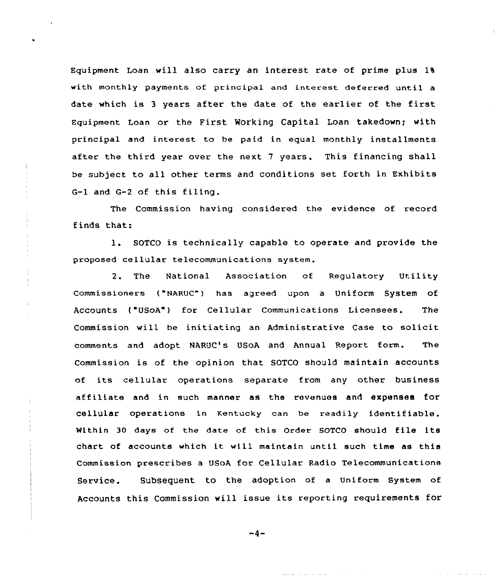Equipment Loan will also carry an interest rate of prime plus 1%, with monthly payments of principal and interest deferred until a date which is <sup>3</sup> years after the date of the earlier of the first Equipment Loan or the First Working Capital Loan takedown; with principal and interest to be paid in equal monthly installments after the third year over the next 7 years. This financing shall be subject to all other terms and conditions set forth in Exhibits G-1 and G-2 of this filing,

The Commission having considered the evidence of record finds that:

l. SOTCO is technically capable to operate and provide the proposed cellular telecommunications system.

2. The National Association of Regulatory Utility commissioners ("NARvc") has agreed upon a Uniform System of Accounts ("USoA") for Cellular Communications Licensees. The Commission will be initiating an Administrative Case to solicit comments and adopt NARUC's USoA and Annual Report form. The Commission is of the opinion that SOTCO should maintain accounts of its cellular operations separate from any other business affiliate and in such manner as the revenues and expenses for cellular operations in Kentucky can be readily identifiable. Within <sup>30</sup> days of the date of this Order SOTCO should file its chart of accounts which it will maintain until such time as this Commission prescribes a USoA for Cellular Radio Telecommunications Service. Subsequent to the adoption of a uniform system of Accounts this Commission will issue its reporting requirements for

 $-4-$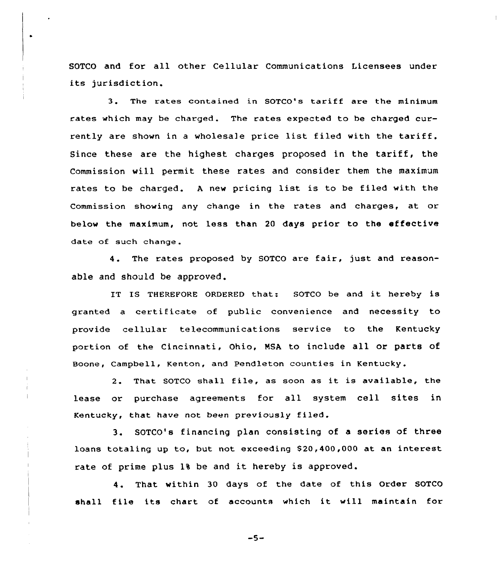SOTCO and for all other Cellular Communications Licensees under its jurisdiction.

 $\bullet$ 

3. The rates contained in SOTCO's tariff are the minimum rates which may be charged. The rates expected to be charged currently are shown in a wholesale price list filed with the tariff. Since these are the highest charges proposed in the tariff, the Commission vill permit these rates and consider them the maximum rates to be charged. <sup>A</sup> new pricing list is to be filed with the Commission showing any change in the rates and charges, at or below the maximum, not less than 20 days prior to the effective date of such change.

4. The rates proposed by SOTCO are fair, just and reasonable and should be approved.

IT IS THEREFORE ORDERED that: SOTCO be and it hereby is granted a certificate of public convenience and necessity to provide cellular telecommunications service to the Kentucky portion of the Cincinnati, Ohio, NSA to include all or parts of Boone, Campbell, Kenton, and Pendleton counties in Kentucky.

2. That SOTCO shall file, as soon as it is available, the lease or purchase agreements for all system cell sites in Kentucky, that have not been previously filed.

3. SOTCO's financing plan consisting of <sup>a</sup> series of three loans totaling up to, but not exceeding \$20,400,000 at an interest rate of prime plus 1% be and it hereby is approved.

4. That within <sup>30</sup> days of the date of this Order SOTCO shall file its chart of accounts which it will maintain for

 $-5-$